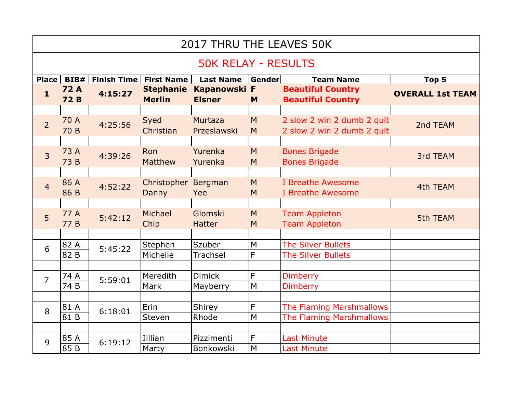| 2017 THRU THE LEAVES 50K   |                           |         |                                         |                               |                |                                                          |                         |  |  |  |  |
|----------------------------|---------------------------|---------|-----------------------------------------|-------------------------------|----------------|----------------------------------------------------------|-------------------------|--|--|--|--|
| <b>50K RELAY - RESULTS</b> |                           |         |                                         |                               |                |                                                          |                         |  |  |  |  |
|                            |                           |         | Place   BIB#   Finish Time   First Name | <b>Last Name</b>              | <b>TGender</b> | <b>Team Name</b>                                         | Top 5                   |  |  |  |  |
| $\mathbf{1}$               | <b>72 A</b><br><b>72B</b> | 4:15:27 | <b>Stephanie</b><br><b>Merlin</b>       | Kapanowski F<br><b>Elsner</b> | M              | <b>Beautiful Country</b><br><b>Beautiful Country</b>     | <b>OVERALL 1st TEAM</b> |  |  |  |  |
|                            |                           |         |                                         |                               |                |                                                          |                         |  |  |  |  |
| $\overline{2}$             | 70 A<br>70 B              | 4:25:56 | Syed<br>Christian                       | Murtaza<br>Przeslawski        | M<br>M         | 2 slow 2 win 2 dumb 2 quit<br>2 slow 2 win 2 dumb 2 quit | 2nd TEAM                |  |  |  |  |
|                            |                           |         |                                         |                               |                |                                                          |                         |  |  |  |  |
| $\overline{3}$             | 73 A<br>73 B              | 4:39:26 | Ron<br><b>Matthew</b>                   | Yurenka<br>Yurenka            | M<br>M         | <b>Bones Brigade</b><br><b>Bones Brigade</b>             | 3rd TEAM                |  |  |  |  |
|                            |                           |         |                                         |                               |                |                                                          |                         |  |  |  |  |
| $\overline{4}$             | 86 A<br>86 B              | 4:52:22 | Christopher<br>Danny                    | Bergman<br>Yee                | M<br>M         | I Breathe Awesome<br>I Breathe Awesome                   | 4th TEAM                |  |  |  |  |
|                            |                           |         |                                         |                               |                |                                                          |                         |  |  |  |  |
| 5 <sup>1</sup>             | 77 A<br>77B               | 5:42:12 | Michael<br>Chip                         | Glomski<br><b>Hatter</b>      | M<br>M         | <b>Team Appleton</b><br><b>Team Appleton</b>             | 5th TEAM                |  |  |  |  |
|                            |                           |         |                                         |                               |                |                                                          |                         |  |  |  |  |
| 6                          | 82 A                      | 5:45:22 | Stephen                                 | Szuber                        | M              | <b>The Silver Bullets</b>                                |                         |  |  |  |  |
|                            | 82 B                      |         | Michelle                                | <b>Trachsel</b>               | F              | <b>The Silver Bullets</b>                                |                         |  |  |  |  |
|                            |                           |         |                                         |                               |                |                                                          |                         |  |  |  |  |
| $\overline{7}$             | 74 A                      | 5:59:01 | Meredith                                | <b>Dimick</b>                 | F              | <b>Dimberry</b>                                          |                         |  |  |  |  |
|                            | 74 B                      |         | Mark                                    | Mayberry                      | M              | <b>Dimberry</b>                                          |                         |  |  |  |  |
|                            |                           |         |                                         |                               |                |                                                          |                         |  |  |  |  |
| 8                          | 81 A                      | 6:18:01 | Erin                                    | Shirey                        | F              | The Flaming Marshmallows                                 |                         |  |  |  |  |
|                            | 81 B                      |         | Steven                                  | Rhode                         | M              | The Flaming Marshmallows                                 |                         |  |  |  |  |
|                            |                           |         |                                         |                               |                |                                                          |                         |  |  |  |  |
| 9                          | 85 A                      | 6:19:12 | Jillian                                 | Pizzimenti                    | F              | <b>Last Minute</b>                                       |                         |  |  |  |  |
|                            | 85 B                      |         | Marty                                   | Bonkowski                     | M              | <b>Last Minute</b>                                       |                         |  |  |  |  |